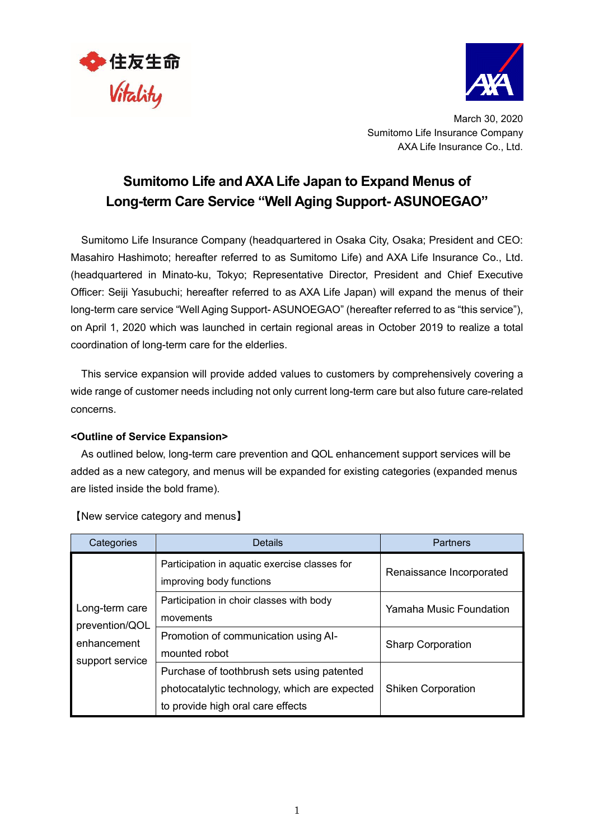



March 30, 2020 Sumitomo Life Insurance Company AXA Life Insurance Co., Ltd.

## **Sumitomo Life and AXA Life Japan to Expand Menus of Long-term Care Service "Well Aging Support- ASUNOEGAO"**

Sumitomo Life Insurance Company (headquartered in Osaka City, Osaka; President and CEO: Masahiro Hashimoto; hereafter referred to as Sumitomo Life) and AXA Life Insurance Co., Ltd. (headquartered in Minato-ku, Tokyo; Representative Director, President and Chief Executive Officer: Seiji Yasubuchi; hereafter referred to as AXA Life Japan) will expand the menus of their long-term care service "Well Aging Support- ASUNOEGAO" (hereafter referred to as "this service"), on April 1, 2020 which was launched in certain regional areas in October 2019 to realize a total coordination of long-term care for the elderlies.

This service expansion will provide added values to customers by comprehensively covering a wide range of customer needs including not only current long-term care but also future care-related concerns.

## **<Outline of Service Expansion>**

As outlined below, long-term care prevention and QOL enhancement support services will be added as a new category, and menus will be expanded for existing categories (expanded menus are listed inside the bold frame).

| Categories                                                         | <b>Details</b>                                                                                                                   | <b>Partners</b>           |
|--------------------------------------------------------------------|----------------------------------------------------------------------------------------------------------------------------------|---------------------------|
| Long-term care<br>prevention/QOL<br>enhancement<br>support service | Participation in aquatic exercise classes for<br>improving body functions                                                        | Renaissance Incorporated  |
|                                                                    | Participation in choir classes with body<br>movements                                                                            | Yamaha Music Foundation   |
|                                                                    | Promotion of communication using Al-<br>mounted robot                                                                            | <b>Sharp Corporation</b>  |
|                                                                    | Purchase of toothbrush sets using patented<br>photocatalytic technology, which are expected<br>to provide high oral care effects | <b>Shiken Corporation</b> |

【New service category and menus】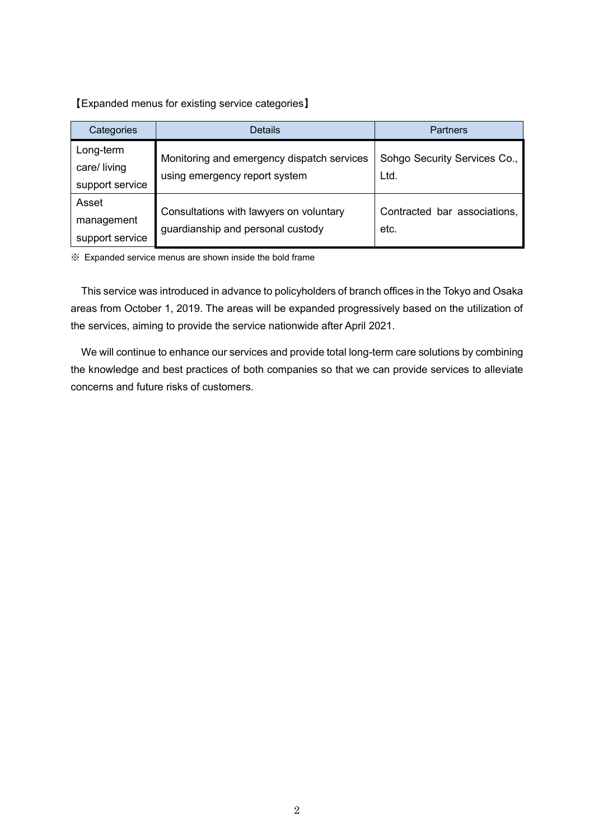【Expanded menus for existing service categories】

| Categories                                   | <b>Details</b>                                                               | <b>Partners</b>                      |
|----------------------------------------------|------------------------------------------------------------------------------|--------------------------------------|
| Long-term<br>care/ living<br>support service | Monitoring and emergency dispatch services<br>using emergency report system  | Sohgo Security Services Co.,<br>Ltd. |
| Asset<br>management<br>support service       | Consultations with lawyers on voluntary<br>guardianship and personal custody | Contracted bar associations,<br>etc. |

※ Expanded service menus are shown inside the bold frame

This service was introduced in advance to policyholders of branch offices in the Tokyo and Osaka areas from October 1, 2019. The areas will be expanded progressively based on the utilization of the services, aiming to provide the service nationwide after April 2021.

We will continue to enhance our services and provide total long-term care solutions by combining the knowledge and best practices of both companies so that we can provide services to alleviate concerns and future risks of customers.